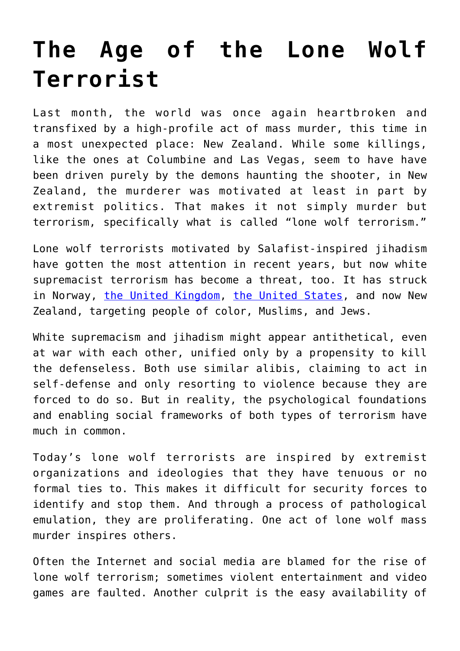## **[The Age of the Lone Wolf](https://intellectualtakeout.org/2019/04/the-age-of-the-lone-wolf-terrorist/) [Terrorist](https://intellectualtakeout.org/2019/04/the-age-of-the-lone-wolf-terrorist/)**

Last month, the world was once again heartbroken and transfixed by a high-profile act of mass murder, this time in a most unexpected place: New Zealand. While some killings, like the ones at Columbine and Las Vegas, seem to have have been driven purely by the demons haunting the shooter, in New Zealand, the murderer was motivated at least in part by extremist politics. That makes it not simply murder but terrorism, specifically what is called "lone wolf terrorism."

Lone wolf terrorists motivated by Salafist-inspired jihadism have gotten the most attention in recent years, but now white supremacist terrorism has become a threat, too. It has struck in Norway, [the United Kingdom,](https://www.dw.com/en/munich-shooting-gunman-had-ideological-motivations-say-experts/a-40793915) [the United States,](https://www.cnn.com/us/live-news/pittsburgh-synagogue-shooting/h_0c180f52c8d032fd47eef570cc5065c2) and now New Zealand, targeting people of color, Muslims, and Jews.

White supremacism and jihadism might appear antithetical, even at war with each other, unified only by a propensity to kill the defenseless. Both use similar alibis, claiming to act in self-defense and only resorting to violence because they are forced to do so. But in reality, the psychological foundations and enabling social frameworks of both types of terrorism have much in common.

Today's lone wolf terrorists are inspired by extremist organizations and ideologies that they have tenuous or no formal ties to. This makes it difficult for security forces to identify and stop them. And through a process of pathological emulation, they are proliferating. One act of lone wolf mass murder inspires others.

Often the Internet and social media are blamed for the rise of lone wolf terrorism; sometimes violent entertainment and video games are faulted. Another culprit is the easy availability of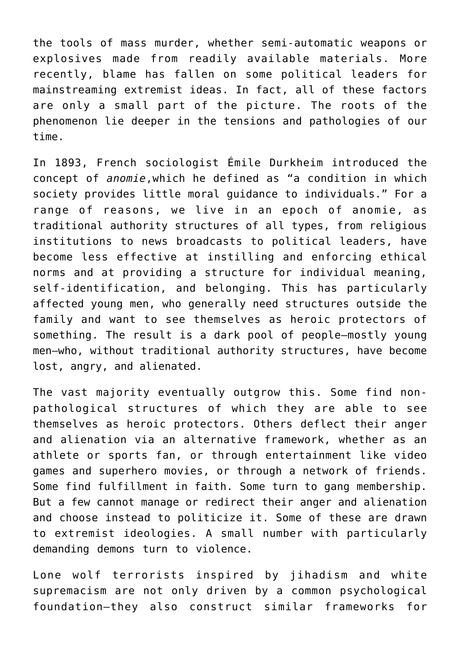the tools of mass murder, whether semi-automatic weapons or explosives made from readily available materials. More recently, blame has fallen on some political leaders for mainstreaming extremist ideas. In fact, all of these factors are only a small part of the picture. The roots of the phenomenon lie deeper in the tensions and pathologies of our time.

In 1893, French sociologist Émile Durkheim introduced the concept of *anomie*,which he defined as "a condition in which society provides little moral guidance to individuals." For a range of reasons, we live in an epoch of anomie, as traditional authority structures of all types, from religious institutions to news broadcasts to political leaders, have become less effective at instilling and enforcing ethical norms and at providing a structure for individual meaning, self-identification, and belonging. This has particularly affected young men, who generally need structures outside the family and want to see themselves as heroic protectors of something. The result is a dark pool of people—mostly young men—who, without traditional authority structures, have become lost, angry, and alienated.

The vast majority eventually outgrow this. Some find nonpathological structures of which they are able to see themselves as heroic protectors. Others deflect their anger and alienation via an alternative framework, whether as an athlete or sports fan, or through entertainment like video games and superhero movies, or through a network of friends. Some find fulfillment in faith. Some turn to gang membership. But a few cannot manage or redirect their anger and alienation and choose instead to politicize it. Some of these are drawn to extremist ideologies. A small number with particularly demanding demons turn to violence.

Lone wolf terrorists inspired by jihadism and white supremacism are not only driven by a common psychological foundation—they also construct similar frameworks for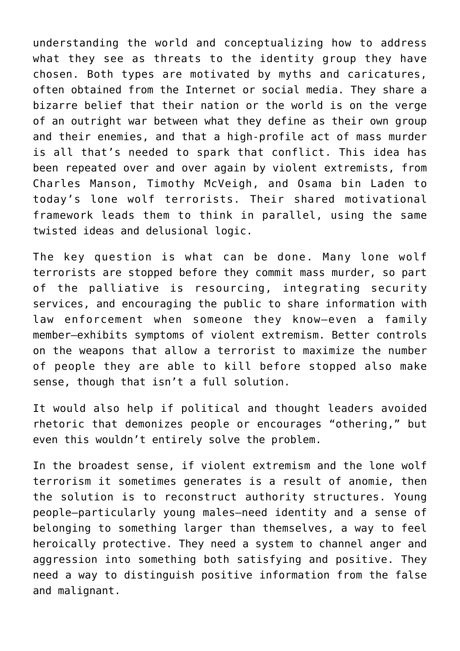understanding the world and conceptualizing how to address what they see as threats to the identity group they have chosen. Both types are motivated by myths and caricatures, often obtained from the Internet or social media. They share a bizarre belief that their nation or the world is on the verge of an outright war between what they define as their own group and their enemies, and that a high-profile act of mass murder is all that's needed to spark that conflict. This idea has been repeated over and over again by violent extremists, from Charles Manson, Timothy McVeigh, and Osama bin Laden to today's lone wolf terrorists. Their shared motivational framework leads them to think in parallel, using the same twisted ideas and delusional logic.

The key question is what can be done. Many lone wolf terrorists are stopped before they commit mass murder, so part of the palliative is resourcing, integrating security services, and encouraging the public to share information with law enforcement when someone they know—even a family member—exhibits symptoms of violent extremism. Better controls on the weapons that allow a terrorist to maximize the number of people they are able to kill before stopped also make sense, though that isn't a full solution.

It would also help if political and thought leaders avoided rhetoric that demonizes people or encourages "othering," but even this wouldn't entirely solve the problem.

In the broadest sense, if violent extremism and the lone wolf terrorism it sometimes generates is a result of anomie, then the solution is to reconstruct authority structures. Young people—particularly young males—need identity and a sense of belonging to something larger than themselves, a way to feel heroically protective. They need a system to channel anger and aggression into something both satisfying and positive. They need a way to distinguish positive information from the false and malignant.